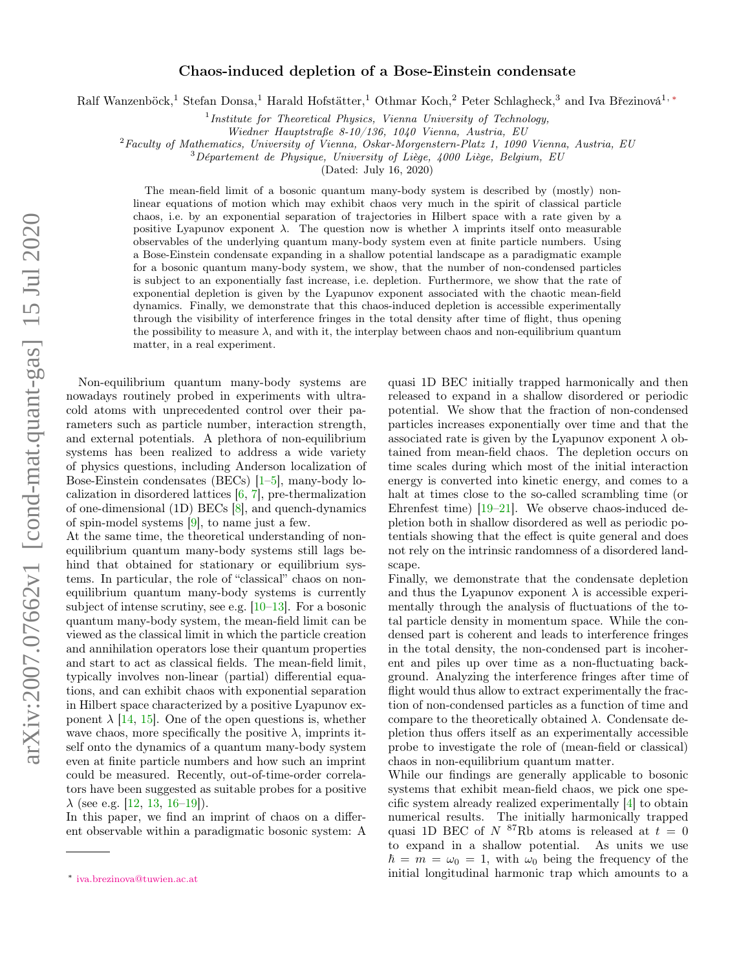## Chaos-induced depletion of a Bose-Einstein condensate

Ralf Wanzenböck,<sup>1</sup> Stefan Donsa,<sup>1</sup> Harald Hofstätter,<sup>1</sup> Othmar Koch,<sup>2</sup> Peter Schlagheck,<sup>3</sup> and Iva Březinová<sup>1,</sup> \*

<sup>1</sup>Institute for Theoretical Physics, Vienna University of Technology,

Wiedner Hauptstraße 8-10/136, 1040 Vienna, Austria, EU

 ${}^{2}$ Faculty of Mathematics, University of Vienna, Oskar-Morgenstern-Platz 1, 1090 Vienna, Austria, EU

 $3Département de Physique, University of Liège, 4000 Liège, Belgium, EU$ 

(Dated: July 16, 2020)

The mean-field limit of a bosonic quantum many-body system is described by (mostly) nonlinear equations of motion which may exhibit chaos very much in the spirit of classical particle chaos, i.e. by an exponential separation of trajectories in Hilbert space with a rate given by a positive Lyapunov exponent  $\lambda$ . The question now is whether  $\lambda$  imprints itself onto measurable observables of the underlying quantum many-body system even at finite particle numbers. Using a Bose-Einstein condensate expanding in a shallow potential landscape as a paradigmatic example for a bosonic quantum many-body system, we show, that the number of non-condensed particles is subject to an exponentially fast increase, i.e. depletion. Furthermore, we show that the rate of exponential depletion is given by the Lyapunov exponent associated with the chaotic mean-field dynamics. Finally, we demonstrate that this chaos-induced depletion is accessible experimentally through the visibility of interference fringes in the total density after time of flight, thus opening the possibility to measure  $\lambda$ , and with it, the interplay between chaos and non-equilibrium quantum matter, in a real experiment.

Non-equilibrium quantum many-body systems are nowadays routinely probed in experiments with ultracold atoms with unprecedented control over their parameters such as particle number, interaction strength, and external potentials. A plethora of non-equilibrium systems has been realized to address a wide variety of physics questions, including Anderson localization of Bose-Einstein condensates (BECs) [\[1](#page-4-0)[–5\]](#page-4-1), many-body localization in disordered lattices [\[6,](#page-4-2) [7\]](#page-4-3), pre-thermalization of one-dimensional (1D) BECs [\[8\]](#page-4-4), and quench-dynamics of spin-model systems [\[9\]](#page-4-5), to name just a few.

At the same time, the theoretical understanding of nonequilibrium quantum many-body systems still lags behind that obtained for stationary or equilibrium systems. In particular, the role of "classical" chaos on nonequilibrium quantum many-body systems is currently subject of intense scrutiny, see e.g. [\[10–](#page-4-6)[13\]](#page-4-7). For a bosonic quantum many-body system, the mean-field limit can be viewed as the classical limit in which the particle creation and annihilation operators lose their quantum properties and start to act as classical fields. The mean-field limit, typically involves non-linear (partial) differential equations, and can exhibit chaos with exponential separation in Hilbert space characterized by a positive Lyapunov exponent  $\lambda$  [\[14,](#page-4-8) [15\]](#page-4-9). One of the open questions is, whether wave chaos, more specifically the positive  $\lambda$ , imprints itself onto the dynamics of a quantum many-body system even at finite particle numbers and how such an imprint could be measured. Recently, out-of-time-order correlators have been suggested as suitable probes for a positive  $\lambda$  (see e.g. [\[12,](#page-4-10) [13,](#page-4-7) [16](#page-4-11)[–19\]](#page-4-12)).

In this paper, we find an imprint of chaos on a different observable within a paradigmatic bosonic system: A

quasi 1D BEC initially trapped harmonically and then released to expand in a shallow disordered or periodic potential. We show that the fraction of non-condensed particles increases exponentially over time and that the associated rate is given by the Lyapunov exponent  $\lambda$  obtained from mean-field chaos. The depletion occurs on time scales during which most of the initial interaction energy is converted into kinetic energy, and comes to a halt at times close to the so-called scrambling time (or Ehrenfest time)  $[19-21]$  $[19-21]$ . We observe chaos-induced depletion both in shallow disordered as well as periodic potentials showing that the effect is quite general and does not rely on the intrinsic randomness of a disordered landscape.

Finally, we demonstrate that the condensate depletion and thus the Lyapunov exponent  $\lambda$  is accessible experimentally through the analysis of fluctuations of the total particle density in momentum space. While the condensed part is coherent and leads to interference fringes in the total density, the non-condensed part is incoherent and piles up over time as a non-fluctuating background. Analyzing the interference fringes after time of flight would thus allow to extract experimentally the fraction of non-condensed particles as a function of time and compare to the theoretically obtained  $\lambda$ . Condensate depletion thus offers itself as an experimentally accessible probe to investigate the role of (mean-field or classical) chaos in non-equilibrium quantum matter.

While our findings are generally applicable to bosonic systems that exhibit mean-field chaos, we pick one specific system already realized experimentally [\[4\]](#page-4-14) to obtain numerical results. The initially harmonically trapped quasi 1D BEC of  $N^{87}Rb$  atoms is released at  $t = 0$ to expand in a shallow potential. As units we use  $\hbar = m = \omega_0 = 1$ , with  $\omega_0$  being the frequency of the initial longitudinal harmonic trap which amounts to a

<span id="page-0-0"></span><sup>∗</sup> [iva.brezinova@tuwien.ac.at](mailto:iva.brezinova@tuwien.ac.at)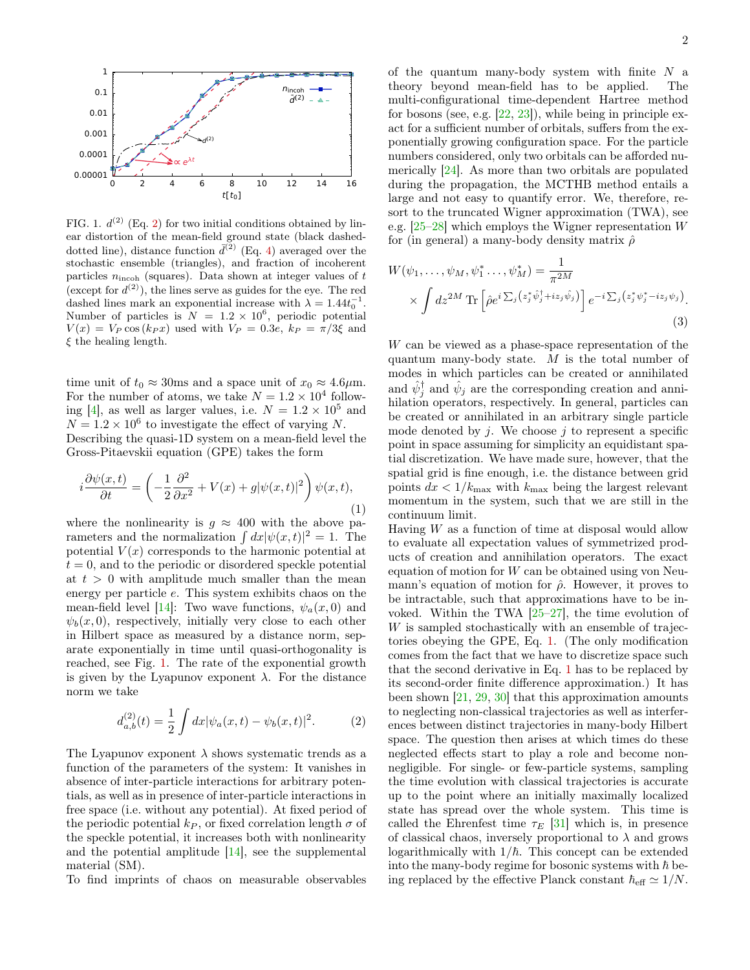

<span id="page-1-1"></span>FIG. 1.  $d^{(2)}$  $d^{(2)}$  $d^{(2)}$  (Eq. 2) for two initial conditions obtained by linear distortion of the mean-field ground state (black dasheddotted line), distance function  $\bar{d}^{(2)}$  (Eq. [4\)](#page-2-0) averaged over the stochastic ensemble (triangles), and fraction of incoherent particles  $n_{\text{incoh}}$  (squares). Data shown at integer values of  $t$ (except for  $d^{(2)}$ ), the lines serve as guides for the eye. The red dashed lines mark an exponential increase with  $\lambda = 1.44t_0^{-1}$ . Number of particles is  $N = 1.2 \times 10^6$ , periodic potential  $V(x) = V_P \cos(k_P x)$  used with  $V_P = 0.3e$ ,  $k_P = \pi/3\xi$  and  $\xi$  the healing length.

time unit of  $t_0 \approx 30$ ms and a space unit of  $x_0 \approx 4.6 \mu$ m. For the number of atoms, we take  $N = 1.2 \times 10^4$  follow-ing [\[4\]](#page-4-14), as well as larger values, i.e.  $N = 1.2 \times 10^5$  and  $N = 1.2 \times 10^6$  to investigate the effect of varying N.

Describing the quasi-1D system on a mean-field level the Gross-Pitaevskii equation (GPE) takes the form

<span id="page-1-2"></span>
$$
i\frac{\partial\psi(x,t)}{\partial t} = \left(-\frac{1}{2}\frac{\partial^2}{\partial x^2} + V(x) + g|\psi(x,t)|^2\right)\psi(x,t),\tag{1}
$$

where the nonlinearity is  $g \approx 400$  with the above parameters and the normalization  $\int dx |\psi(x, t)|^2 = 1$ . The potential  $V(x)$  corresponds to the harmonic potential at  $t = 0$ , and to the periodic or disordered speckle potential at  $t > 0$  with amplitude much smaller than the mean energy per particle e. This system exhibits chaos on the mean-field level [\[14\]](#page-4-8): Two wave functions,  $\psi_a(x,0)$  and  $\psi_b(x, 0)$ , respectively, initially very close to each other in Hilbert space as measured by a distance norm, separate exponentially in time until quasi-orthogonality is reached, see Fig. [1.](#page-1-1) The rate of the exponential growth is given by the Lyapunov exponent  $\lambda$ . For the distance norm we take

$$
d_{a,b}^{(2)}(t) = \frac{1}{2} \int dx |\psi_a(x,t) - \psi_b(x,t)|^2.
$$
 (2)

The Lyapunov exponent  $\lambda$  shows systematic trends as a function of the parameters of the system: It vanishes in absence of inter-particle interactions for arbitrary potentials, as well as in presence of inter-particle interactions in free space (i.e. without any potential). At fixed period of the periodic potential  $k_P$ , or fixed correlation length  $\sigma$  of the speckle potential, it increases both with nonlinearity and the potential amplitude [\[14\]](#page-4-8), see the supplemental material (SM).

To find imprints of chaos on measurable observables

of the quantum many-body system with finite  $N$  a theory beyond mean-field has to be applied. The multi-configurational time-dependent Hartree method for bosons (see, e.g. [\[22,](#page-4-15) [23\]](#page-4-16)), while being in principle exact for a sufficient number of orbitals, suffers from the exponentially growing configuration space. For the particle numbers considered, only two orbitals can be afforded numerically [\[24\]](#page-4-17). As more than two orbitals are populated during the propagation, the MCTHB method entails a large and not easy to quantify error. We, therefore, resort to the truncated Wigner approximation (TWA), see e.g. [\[25–](#page-4-18)[28\]](#page-4-19) which employs the Wigner representation W for (in general) a many-body density matrix  $\hat{\rho}$ 

$$
W(\psi_1, \dots, \psi_M, \psi_1^* \dots, \psi_M^*) = \frac{1}{\pi^{2M}}
$$
  
 
$$
\times \int dz^{2M} \text{Tr} \left[ \hat{\rho} e^{i \sum_j (z_j^* \hat{\psi}_j^{\dagger} + iz_j \hat{\psi}_j)} \right] e^{-i \sum_j (z_j^* \psi_j^* - iz_j \psi_j)}.
$$
  
(3)

W can be viewed as a phase-space representation of the quantum many-body state. M is the total number of modes in which particles can be created or annihilated and  $\hat{\psi}_j^{\dagger}$  and  $\hat{\psi}_j$  are the corresponding creation and annihilation operators, respectively. In general, particles can be created or annihilated in an arbitrary single particle mode denoted by  $j$ . We choose  $j$  to represent a specific point in space assuming for simplicity an equidistant spatial discretization. We have made sure, however, that the spatial grid is fine enough, i.e. the distance between grid points  $dx < 1/k_{\text{max}}$  with  $k_{\text{max}}$  being the largest relevant momentum in the system, such that we are still in the continuum limit.

<span id="page-1-0"></span>Having  $W$  as a function of time at disposal would allow to evaluate all expectation values of symmetrized products of creation and annihilation operators. The exact equation of motion for  $W$  can be obtained using von Neumann's equation of motion for  $\hat{\rho}$ . However, it proves to be intractable, such that approximations have to be invoked. Within the TWA  $[25-27]$  $[25-27]$ , the time evolution of W is sampled stochastically with an ensemble of trajectories obeying the GPE, Eq. [1.](#page-1-2) (The only modification comes from the fact that we have to discretize space such that the second derivative in Eq. [1](#page-1-2) has to be replaced by its second-order finite difference approximation.) It has been shown [\[21,](#page-4-13) [29,](#page-4-21) [30\]](#page-4-22) that this approximation amounts to neglecting non-classical trajectories as well as interferences between distinct trajectories in many-body Hilbert space. The question then arises at which times do these neglected effects start to play a role and become nonnegligible. For single- or few-particle systems, sampling the time evolution with classical trajectories is accurate up to the point where an initially maximally localized state has spread over the whole system. This time is called the Ehrenfest time  $\tau_E$  [\[31\]](#page-4-23) which is, in presence of classical chaos, inversely proportional to  $\lambda$  and grows logarithmically with  $1/\hbar$ . This concept can be extended into the many-body regime for bosonic systems with  $\hbar$  being replaced by the effective Planck constant  $\hbar_{\text{eff}} \simeq 1/N$ .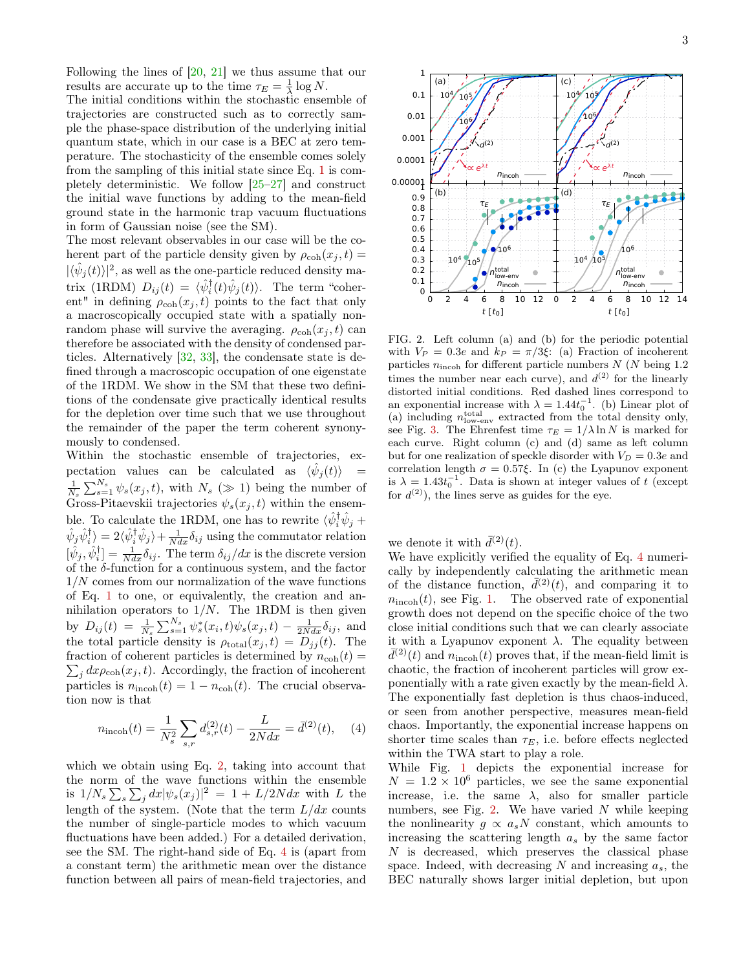Following the lines of [\[20,](#page-4-24) [21\]](#page-4-13) we thus assume that our results are accurate up to the time  $\tau_E = \frac{1}{\lambda} \log N$ .

The initial conditions within the stochastic ensemble of trajectories are constructed such as to correctly sample the phase-space distribution of the underlying initial quantum state, which in our case is a BEC at zero temperature. The stochasticity of the ensemble comes solely from the sampling of this initial state since Eq. [1](#page-1-2) is completely deterministic. We follow [\[25–](#page-4-18)[27\]](#page-4-20) and construct the initial wave functions by adding to the mean-field ground state in the harmonic trap vacuum fluctuations in form of Gaussian noise (see the SM).

The most relevant observables in our case will be the coherent part of the particle density given by  $\rho_{coh}(x_i, t) =$  $|\langle \hat{\psi}_j(t) \rangle|^2$ , as well as the one-particle reduced density matrix (1RDM)  $D_{ij}(t) = \langle \hat{\psi}_i^{\dagger}(t) \hat{\psi}_j(t) \rangle$ . The term "coherent" in defining  $\rho_{coh}(x_i, t)$  points to the fact that only a macroscopically occupied state with a spatially nonrandom phase will survive the averaging.  $\rho_{coh}(x_j,t)$  can therefore be associated with the density of condensed particles. Alternatively [\[32,](#page-4-25) [33\]](#page-4-26), the condensate state is defined through a macroscopic occupation of one eigenstate of the 1RDM. We show in the SM that these two definitions of the condensate give practically identical results for the depletion over time such that we use throughout the remainder of the paper the term coherent synonymously to condensed.

Within the stochastic ensemble of trajectories, expectation values can be calculated as  $\langle \hat{\psi}_j(t) \rangle$  =  $\frac{1}{N_s}\sum_{s=1}^{N_s}\psi_s(x_j,t)$ , with  $N_s \ (\gg 1)$  being the number of Gross-Pitaevskii trajectories  $\psi_s(x_j, t)$  within the ensemble. To calculate the 1RDM, one has to rewrite  $\langle \hat{\psi}_i^{\dagger} \hat{\psi}_j + \rangle$  $\hat{\psi}_j \hat{\psi}_i^{\dagger} \rangle = 2 \langle \hat{\psi}_i^{\dagger} \hat{\psi}_j \rangle + \frac{1}{N dx} \delta_{ij}$  using the commutator relation  $[\hat{\psi}_j, \hat{\psi}_i^{\dagger}] = \frac{1}{N dx} \delta_{ij}$ . The term  $\delta_{ij}/dx$  is the discrete version of the  $\delta$ -function for a continuous system, and the factor 1/N comes from our normalization of the wave functions of Eq. [1](#page-1-2) to one, or equivalently, the creation and annihilation operators to  $1/N$ . The 1RDM is then given by  $D_{ij}(t) = \frac{1}{N_s} \sum_{s=1}^{N_s} \psi_s^*(x_i, t) \psi_s(x_j, t) - \frac{1}{2N dx} \delta_{ij}$ , and the total particle density is  $\rho_{total}(x_j, t) = D_{jj}(t)$ . The fraction of coherent particles is determined by  $n_{coh}(t) =$  $\sum_j dx \rho_{coh}(x_j,t)$ . Accordingly, the fraction of incoherent particles is  $n_{\text{incoh}}(t) = 1 - n_{\text{coh}}(t)$ . The crucial observation now is that

$$
n_{\text{incoh}}(t) = \frac{1}{N_s^2} \sum_{s,r} d_{s,r}^{(2)}(t) - \frac{L}{2Ndx} = \bar{d}^{(2)}(t), \quad (4)
$$

which we obtain using Eq. [2,](#page-1-0) taking into account that the norm of the wave functions within the ensemble is  $1/N_s\sum_s\sum_j dx|\psi_s(x_j)|^2 = 1 + L/2Ndx$  with L the length of the system. (Note that the term  $L/dx$  counts the number of single-particle modes to which vacuum fluctuations have been added.) For a detailed derivation, see the SM. The right-hand side of Eq. [4](#page-2-0) is (apart from a constant term) the arithmetic mean over the distance function between all pairs of mean-field trajectories, and



<span id="page-2-1"></span>FIG. 2. Left column (a) and (b) for the periodic potential with  $V_P = 0.3e$  and  $k_P = \pi/3\xi$ : (a) Fraction of incoherent particles  $n_{\text{incoh}}$  for different particle numbers  $N$  ( $N$  being 1.2) times the number near each curve), and  $d^{(2)}$  for the linearly distorted initial conditions. Red dashed lines correspond to an exponential increase with  $\lambda = 1.44t_0^{-1}$ . (b) Linear plot of (a) including  $n_{\text{low-env}}^{\text{total}}$  extracted from the total density only, see Fig. [3.](#page-3-0) The Ehrenfest time  $\tau_E = 1/\lambda \ln N$  is marked for each curve. Right column (c) and (d) same as left column but for one realization of speckle disorder with  $V_D = 0.3e$  and correlation length  $\sigma = 0.57\xi$ . In (c) the Lyapunov exponent is  $\lambda = 1.43t_0^{-1}$ . Data is shown at integer values of t (except for  $d^{(2)}$ ), the lines serve as guides for the eye.

we denote it with  $\bar{d}^{(2)}(t)$ .

We have explicitly verified the equality of Eq. [4](#page-2-0) numerically by independently calculating the arithmetic mean of the distance function,  $d^{(2)}(t)$ , and comparing it to  $n_{\rm incoh}(t)$ , see Fig. [1.](#page-1-1) The observed rate of exponential growth does not depend on the specific choice of the two close initial conditions such that we can clearly associate it with a Lyapunov exponent  $\lambda$ . The equality between  $\bar{d}^{(2)}(t)$  and  $n_{\text{incoh}}(t)$  proves that, if the mean-field limit is chaotic, the fraction of incoherent particles will grow exponentially with a rate given exactly by the mean-field  $\lambda$ . The exponentially fast depletion is thus chaos-induced, or seen from another perspective, measures mean-field chaos. Importantly, the exponential increase happens on shorter time scales than  $\tau_E$ , i.e. before effects neglected within the TWA start to play a role.

<span id="page-2-0"></span>While Fig. [1](#page-1-1) depicts the exponential increase for  $N = 1.2 \times 10^6$  particles, we see the same exponential increase, i.e. the same  $\lambda$ , also for smaller particle numbers, see Fig. [2.](#page-2-1) We have varied  $N$  while keeping the nonlinearity  $q \propto a_s N$  constant, which amounts to increasing the scattering length  $a_s$  by the same factor  $N$  is decreased, which preserves the classical phase space. Indeed, with decreasing N and increasing  $a_s$ , the BEC naturally shows larger initial depletion, but upon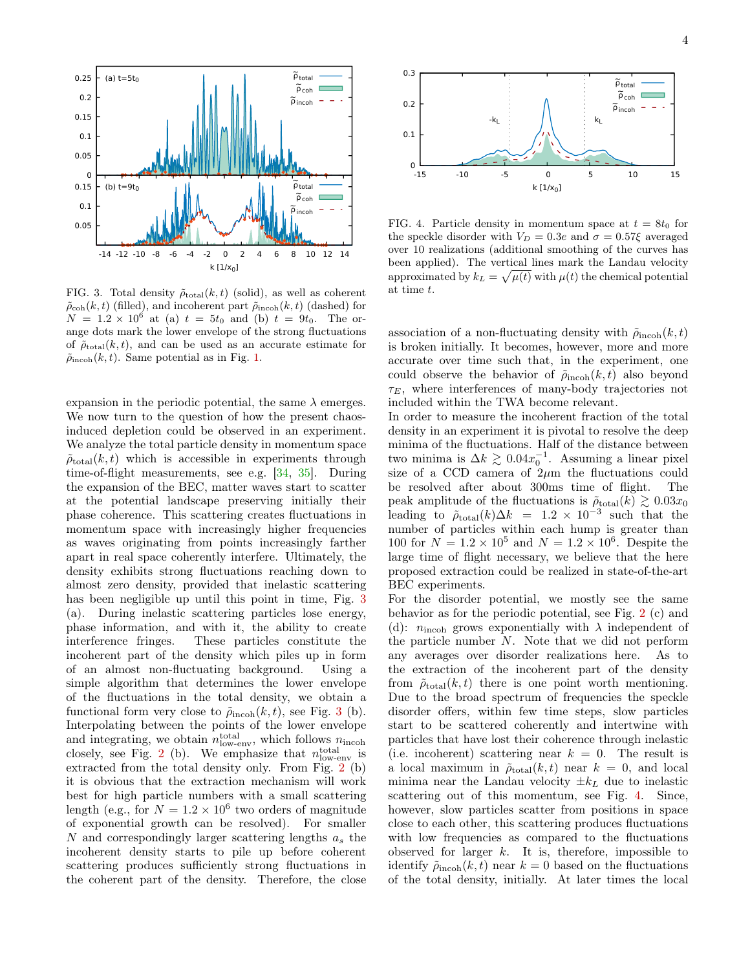

<span id="page-3-0"></span>FIG. 3. Total density  $\tilde{\rho}_{\text{total}}(k, t)$  (solid), as well as coherent  $\tilde{\rho}_{coh}(k, t)$  (filled), and incoherent part  $\tilde{\rho}_{incoh}(k, t)$  (dashed) for  $N = 1.2 \times 10^6$  at (a)  $t = 5t_0$  and (b)  $t = 9t_0$ . The orange dots mark the lower envelope of the strong fluctuations of  $\tilde{\rho}_{\text{total}}(k, t)$ , and can be used as an accurate estimate for  $\tilde{\rho}_{\text{incoh}}(k, t)$ . Same potential as in Fig. [1.](#page-1-1)

expansion in the periodic potential, the same  $\lambda$  emerges. We now turn to the question of how the present chaosinduced depletion could be observed in an experiment. We analyze the total particle density in momentum space  $\tilde{\rho}_{\text{total}}(k, t)$  which is accessible in experiments through time-of-flight measurements, see e.g. [\[34,](#page-4-27) [35\]](#page-4-28). During the expansion of the BEC, matter waves start to scatter at the potential landscape preserving initially their phase coherence. This scattering creates fluctuations in momentum space with increasingly higher frequencies as waves originating from points increasingly farther apart in real space coherently interfere. Ultimately, the density exhibits strong fluctuations reaching down to almost zero density, provided that inelastic scattering has been negligible up until this point in time, Fig. [3](#page-3-0) (a). During inelastic scattering particles lose energy, phase information, and with it, the ability to create interference fringes. These particles constitute the incoherent part of the density which piles up in form of an almost non-fluctuating background. Using a simple algorithm that determines the lower envelope of the fluctuations in the total density, we obtain a functional form very close to  $\tilde{\rho}_{\text{incoh}}(k, t)$ , see Fig. [3](#page-3-0) (b). Interpolating between the points of the lower envelope and integrating, we obtain  $n_{\text{low-env}}^{\text{total}}$ , which follows  $n_{\text{incoh}}$ closely, see Fig. [2](#page-2-1) (b). We emphasize that  $n_{\text{low-env}}^{\text{total}}$  is extracted from the total density only. From Fig. [2](#page-2-1) (b) it is obvious that the extraction mechanism will work best for high particle numbers with a small scattering length (e.g., for  $N = 1.2 \times 10^6$  two orders of magnitude of exponential growth can be resolved). For smaller N and correspondingly larger scattering lengths  $a_s$  the incoherent density starts to pile up before coherent scattering produces sufficiently strong fluctuations in the coherent part of the density. Therefore, the close



<span id="page-3-1"></span>FIG. 4. Particle density in momentum space at  $t = 8t_0$  for the speckle disorder with  $V_D = 0.3e$  and  $\sigma = 0.57\xi$  averaged over 10 realizations (additional smoothing of the curves has been applied). The vertical lines mark the Landau velocity approximated by  $k_L = \sqrt{\mu(t)}$  with  $\mu(t)$  the chemical potential at time t.

association of a non-fluctuating density with  $\tilde{\rho}_{\text{incoh}}(k, t)$ is broken initially. It becomes, however, more and more accurate over time such that, in the experiment, one could observe the behavior of  $\tilde{\rho}_{\text{incoh}}(k, t)$  also beyond  $\tau_E$ , where interferences of many-body trajectories not included within the TWA become relevant.

In order to measure the incoherent fraction of the total density in an experiment it is pivotal to resolve the deep minima of the fluctuations. Half of the distance between two minima is  $\Delta k \gtrsim 0.04 x_0^{-1}$ . Assuming a linear pixel size of a CCD camera of  $2\mu$ m the fluctuations could be resolved after about 300ms time of flight. The peak amplitude of the fluctuations is  $\tilde{\rho}_{\text{total}}(k) \gtrsim 0.03x_0$ leading to  $\tilde{\rho}_{\text{total}}(k)\Delta k = 1.2 \times 10^{-3}$  such that the number of particles within each hump is greater than 100 for  $N = 1.2 \times 10^5$  and  $N = 1.2 \times 10^6$ . Despite the large time of flight necessary, we believe that the here proposed extraction could be realized in state-of-the-art BEC experiments.

For the disorder potential, we mostly see the same behavior as for the periodic potential, see Fig. [2](#page-2-1) (c) and (d):  $n_{\text{incoh}}$  grows exponentially with  $\lambda$  independent of the particle number  $N$ . Note that we did not perform any averages over disorder realizations here. As to the extraction of the incoherent part of the density from  $\tilde{\rho}_{total}(k, t)$  there is one point worth mentioning. Due to the broad spectrum of frequencies the speckle disorder offers, within few time steps, slow particles start to be scattered coherently and intertwine with particles that have lost their coherence through inelastic (i.e. incoherent) scattering near  $k = 0$ . The result is a local maximum in  $\tilde{\rho}_{total}(k, t)$  near  $k = 0$ , and local minima near the Landau velocity  $\pm k_L$  due to inelastic scattering out of this momentum, see Fig. [4.](#page-3-1) Since, however, slow particles scatter from positions in space close to each other, this scattering produces fluctuations with low frequencies as compared to the fluctuations observed for larger  $k$ . It is, therefore, impossible to identify  $\tilde{\rho}_{\text{incoh}}(k, t)$  near  $k = 0$  based on the fluctuations of the total density, initially. At later times the local